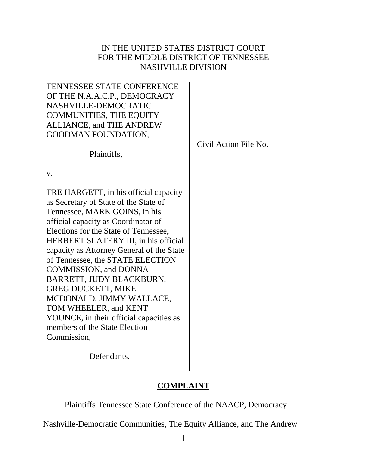# IN THE UNITED STATES DISTRICT COURT FOR THE MIDDLE DISTRICT OF TENNESSEE NASHVILLE DIVISION

| Civil Action File No. |
|-----------------------|
|                       |
|                       |
|                       |

Defendants.

# **COMPLAINT**

Plaintiffs Tennessee State Conference of the NAACP, Democracy

Nashville-Democratic Communities, The Equity Alliance, and The Andrew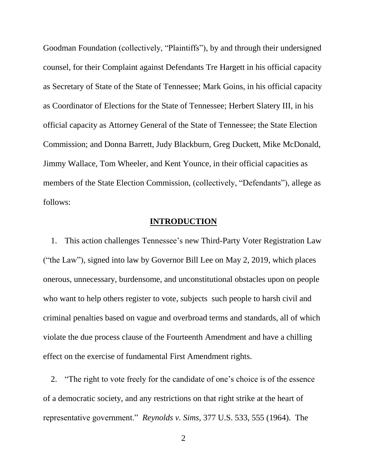Goodman Foundation (collectively, "Plaintiffs"), by and through their undersigned counsel, for their Complaint against Defendants Tre Hargett in his official capacity as Secretary of State of the State of Tennessee; Mark Goins, in his official capacity as Coordinator of Elections for the State of Tennessee; Herbert Slatery III, in his official capacity as Attorney General of the State of Tennessee; the State Election Commission; and Donna Barrett, Judy Blackburn, Greg Duckett, Mike McDonald, Jimmy Wallace, Tom Wheeler, and Kent Younce, in their official capacities as members of the State Election Commission, (collectively, "Defendants"), allege as follows:

# **INTRODUCTION**

1. This action challenges Tennessee's new Third-Party Voter Registration Law ("the Law"), signed into law by Governor Bill Lee on May 2, 2019, which places onerous, unnecessary, burdensome, and unconstitutional obstacles upon on people who want to help others register to vote, subjects such people to harsh civil and criminal penalties based on vague and overbroad terms and standards, all of which violate the due process clause of the Fourteenth Amendment and have a chilling effect on the exercise of fundamental First Amendment rights.

2. "The right to vote freely for the candidate of one's choice is of the essence of a democratic society, and any restrictions on that right strike at the heart of representative government." *Reynolds v. Sims*, 377 U.S. 533, 555 (1964). The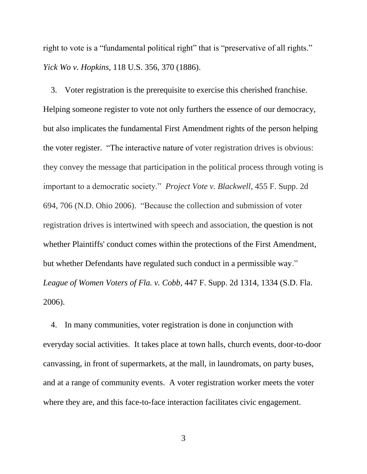right to vote is a "fundamental political right" that is "preservative of all rights." *Yick Wo v. Hopkins,* 118 U.S. 356, 370 (1886).

3. Voter registration is the prerequisite to exercise this cherished franchise. Helping someone register to vote not only furthers the essence of our democracy, but also implicates the fundamental First Amendment rights of the person helping the voter register. "The interactive nature of voter registration drives is obvious: they convey the message that participation in the political process through voting is important to a democratic society." *Project Vote v. Blackwell*, 455 F. Supp. 2d 694, 706 (N.D. Ohio 2006). "Because the collection and submission of voter registration drives is intertwined with speech and association, the question is not whether Plaintiffs' conduct comes within the protections of the First Amendment, but whether Defendants have regulated such conduct in a permissible way." *League of Women Voters of Fla. v. Cobb*, 447 F. Supp. 2d 1314, 1334 (S.D. Fla. 2006).

4. In many communities, voter registration is done in conjunction with everyday social activities. It takes place at town halls, church events, door-to-door canvassing, in front of supermarkets, at the mall, in laundromats, on party buses, and at a range of community events. A voter registration worker meets the voter where they are, and this face-to-face interaction facilitates civic engagement.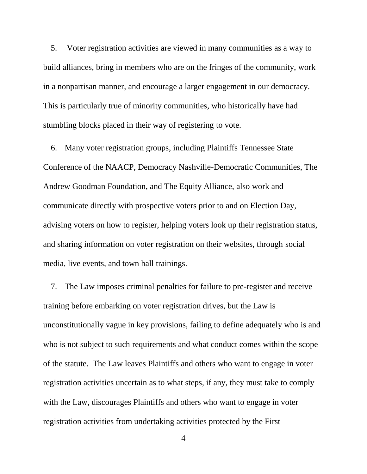5. Voter registration activities are viewed in many communities as a way to build alliances, bring in members who are on the fringes of the community, work in a nonpartisan manner, and encourage a larger engagement in our democracy. This is particularly true of minority communities, who historically have had stumbling blocks placed in their way of registering to vote.

6. Many voter registration groups, including Plaintiffs Tennessee State Conference of the NAACP, Democracy Nashville-Democratic Communities, The Andrew Goodman Foundation, and The Equity Alliance, also work and communicate directly with prospective voters prior to and on Election Day, advising voters on how to register, helping voters look up their registration status, and sharing information on voter registration on their websites, through social media, live events, and town hall trainings.

7. The Law imposes criminal penalties for failure to pre-register and receive training before embarking on voter registration drives, but the Law is unconstitutionally vague in key provisions, failing to define adequately who is and who is not subject to such requirements and what conduct comes within the scope of the statute. The Law leaves Plaintiffs and others who want to engage in voter registration activities uncertain as to what steps, if any, they must take to comply with the Law, discourages Plaintiffs and others who want to engage in voter registration activities from undertaking activities protected by the First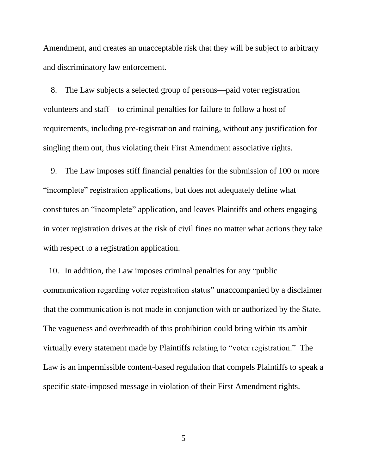Amendment, and creates an unacceptable risk that they will be subject to arbitrary and discriminatory law enforcement.

8. The Law subjects a selected group of persons—paid voter registration volunteers and staff—to criminal penalties for failure to follow a host of requirements, including pre-registration and training, without any justification for singling them out, thus violating their First Amendment associative rights.

9. The Law imposes stiff financial penalties for the submission of 100 or more "incomplete" registration applications, but does not adequately define what constitutes an "incomplete" application, and leaves Plaintiffs and others engaging in voter registration drives at the risk of civil fines no matter what actions they take with respect to a registration application.

10. In addition, the Law imposes criminal penalties for any "public communication regarding voter registration status" unaccompanied by a disclaimer that the communication is not made in conjunction with or authorized by the State. The vagueness and overbreadth of this prohibition could bring within its ambit virtually every statement made by Plaintiffs relating to "voter registration." The Law is an impermissible content-based regulation that compels Plaintiffs to speak a specific state-imposed message in violation of their First Amendment rights.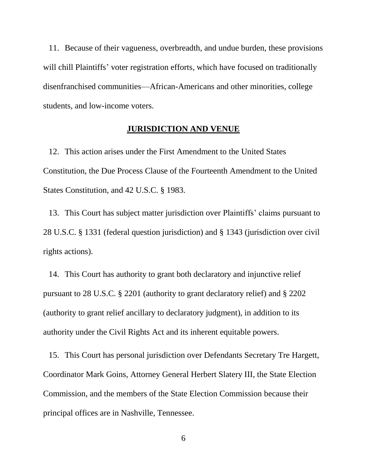11. Because of their vagueness, overbreadth, and undue burden, these provisions will chill Plaintiffs' voter registration efforts, which have focused on traditionally disenfranchised communities—African-Americans and other minorities, college students, and low-income voters.

#### **JURISDICTION AND VENUE**

12. This action arises under the First Amendment to the United States Constitution, the Due Process Clause of the Fourteenth Amendment to the United States Constitution, and 42 U.S.C. § 1983.

13. This Court has subject matter jurisdiction over Plaintiffs' claims pursuant to 28 U.S.C. § 1331 (federal question jurisdiction) and § 1343 (jurisdiction over civil rights actions).

14. This Court has authority to grant both declaratory and injunctive relief pursuant to 28 U.S.C. § 2201 (authority to grant declaratory relief) and § 2202 (authority to grant relief ancillary to declaratory judgment), in addition to its authority under the Civil Rights Act and its inherent equitable powers.

15. This Court has personal jurisdiction over Defendants Secretary Tre Hargett, Coordinator Mark Goins, Attorney General Herbert Slatery III, the State Election Commission, and the members of the State Election Commission because their principal offices are in Nashville, Tennessee.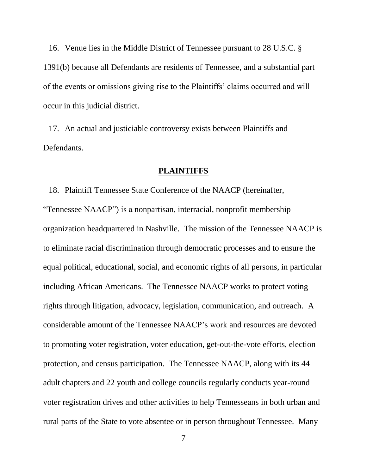16. Venue lies in the Middle District of Tennessee pursuant to 28 U.S.C. § 1391(b) because all Defendants are residents of Tennessee, and a substantial part of the events or omissions giving rise to the Plaintiffs' claims occurred and will occur in this judicial district.

17. An actual and justiciable controversy exists between Plaintiffs and Defendants.

### **PLAINTIFFS**

18. Plaintiff Tennessee State Conference of the NAACP (hereinafter, "Tennessee NAACP") is a nonpartisan, interracial, nonprofit membership organization headquartered in Nashville. The mission of the Tennessee NAACP is to eliminate racial discrimination through democratic processes and to ensure the equal political, educational, social, and economic rights of all persons, in particular including African Americans. The Tennessee NAACP works to protect voting rights through litigation, advocacy, legislation, communication, and outreach. A considerable amount of the Tennessee NAACP's work and resources are devoted to promoting voter registration, voter education, get-out-the-vote efforts, election protection, and census participation. The Tennessee NAACP, along with its 44 adult chapters and 22 youth and college councils regularly conducts year-round voter registration drives and other activities to help Tennesseans in both urban and rural parts of the State to vote absentee or in person throughout Tennessee. Many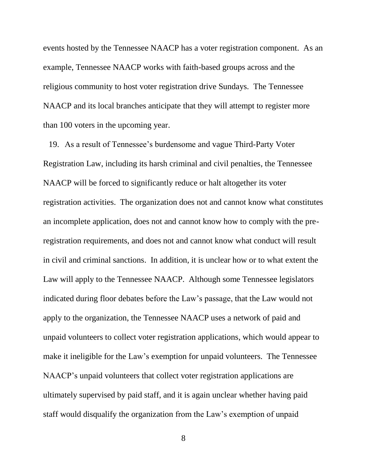events hosted by the Tennessee NAACP has a voter registration component. As an example, Tennessee NAACP works with faith-based groups across and the religious community to host voter registration drive Sundays. The Tennessee NAACP and its local branches anticipate that they will attempt to register more than 100 voters in the upcoming year.

19. As a result of Tennessee's burdensome and vague Third-Party Voter Registration Law, including its harsh criminal and civil penalties, the Tennessee NAACP will be forced to significantly reduce or halt altogether its voter registration activities. The organization does not and cannot know what constitutes an incomplete application, does not and cannot know how to comply with the preregistration requirements, and does not and cannot know what conduct will result in civil and criminal sanctions. In addition, it is unclear how or to what extent the Law will apply to the Tennessee NAACP. Although some Tennessee legislators indicated during floor debates before the Law's passage, that the Law would not apply to the organization, the Tennessee NAACP uses a network of paid and unpaid volunteers to collect voter registration applications, which would appear to make it ineligible for the Law's exemption for unpaid volunteers. The Tennessee NAACP's unpaid volunteers that collect voter registration applications are ultimately supervised by paid staff, and it is again unclear whether having paid staff would disqualify the organization from the Law's exemption of unpaid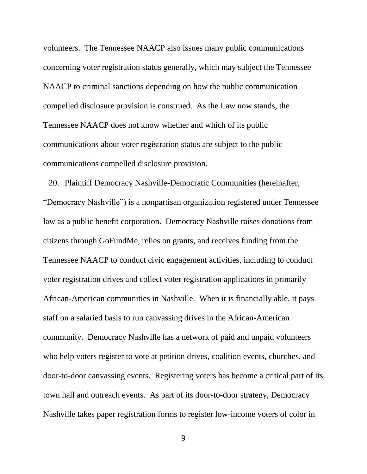volunteers. The Tennessee NAACP also issues many public communications concerning voter registration status generally, which may subject the Tennessee NAACP to criminal sanctions depending on how the public communication compelled disclosure provision is construed. As the Law now stands, the Tennessee NAACP does not know whether and which of its public communications about voter registration status are subject to the public communications compelled disclosure provision.

20. Plaintiff Democracy Nashville-Democratic Communities (hereinafter, "Democracy Nashville") is a nonpartisan organization registered under Tennessee law as a public benefit corporation. Democracy Nashville raises donations from citizens through GoFundMe, relies on grants, and receives funding from the Tennessee NAACP to conduct civic engagement activities, including to conduct voter registration drives and collect voter registration applications in primarily African-American communities in Nashville. When it is financially able, it pays staff on a salaried basis to run canvassing drives in the African-American community. Democracy Nashville has a network of paid and unpaid volunteers who help voters register to vote at petition drives, coalition events, churches, and door-to-door canvassing events. Registering voters has become a critical part of its town hall and outreach events. As part of its door-to-door strategy, Democracy Nashville takes paper registration forms to register low-income voters of color in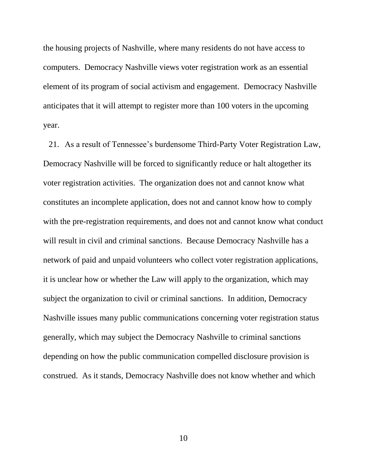the housing projects of Nashville, where many residents do not have access to computers. Democracy Nashville views voter registration work as an essential element of its program of social activism and engagement. Democracy Nashville anticipates that it will attempt to register more than 100 voters in the upcoming year.

21. As a result of Tennessee's burdensome Third-Party Voter Registration Law, Democracy Nashville will be forced to significantly reduce or halt altogether its voter registration activities. The organization does not and cannot know what constitutes an incomplete application, does not and cannot know how to comply with the pre-registration requirements, and does not and cannot know what conduct will result in civil and criminal sanctions. Because Democracy Nashville has a network of paid and unpaid volunteers who collect voter registration applications, it is unclear how or whether the Law will apply to the organization, which may subject the organization to civil or criminal sanctions. In addition, Democracy Nashville issues many public communications concerning voter registration status generally, which may subject the Democracy Nashville to criminal sanctions depending on how the public communication compelled disclosure provision is construed. As it stands, Democracy Nashville does not know whether and which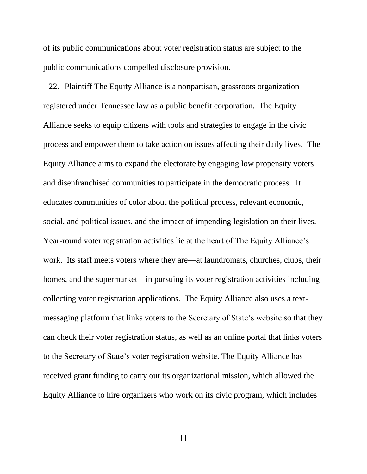of its public communications about voter registration status are subject to the public communications compelled disclosure provision.

22. Plaintiff The Equity Alliance is a nonpartisan, grassroots organization registered under Tennessee law as a public benefit corporation. The Equity Alliance seeks to equip citizens with tools and strategies to engage in the civic process and empower them to take action on issues affecting their daily lives. The Equity Alliance aims to expand the electorate by engaging low propensity voters and disenfranchised communities to participate in the democratic process. It educates communities of color about the political process, relevant economic, social, and political issues, and the impact of impending legislation on their lives. Year-round voter registration activities lie at the heart of The Equity Alliance's work. Its staff meets voters where they are—at laundromats, churches, clubs, their homes, and the supermarket—in pursuing its voter registration activities including collecting voter registration applications. The Equity Alliance also uses a textmessaging platform that links voters to the Secretary of State's website so that they can check their voter registration status, as well as an online portal that links voters to the Secretary of State's voter registration website. The Equity Alliance has received grant funding to carry out its organizational mission, which allowed the Equity Alliance to hire organizers who work on its civic program, which includes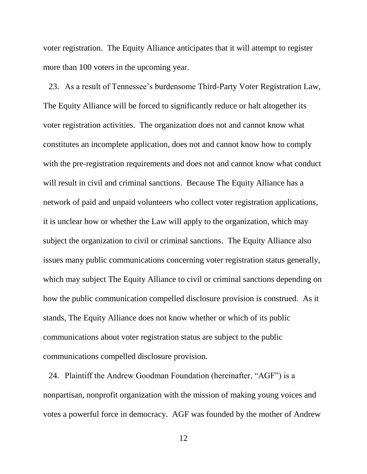voter registration. The Equity Alliance anticipates that it will attempt to register more than 100 voters in the upcoming year.

23. As a result of Tennessee's burdensome Third-Party Voter Registration Law, The Equity Alliance will be forced to significantly reduce or halt altogether its voter registration activities. The organization does not and cannot know what constitutes an incomplete application, does not and cannot know how to comply with the pre-registration requirements and does not and cannot know what conduct will result in civil and criminal sanctions. Because The Equity Alliance has a network of paid and unpaid volunteers who collect voter registration applications, it is unclear how or whether the Law will apply to the organization, which may subject the organization to civil or criminal sanctions. The Equity Alliance also issues many public communications concerning voter registration status generally, which may subject The Equity Alliance to civil or criminal sanctions depending on how the public communication compelled disclosure provision is construed. As it stands, The Equity Alliance does not know whether or which of its public communications about voter registration status are subject to the public communications compelled disclosure provision.

24. Plaintiff the Andrew Goodman Foundation (hereinafter, "AGF") is a nonpartisan, nonprofit organization with the mission of making young voices and votes a powerful force in democracy. AGF was founded by the mother of Andrew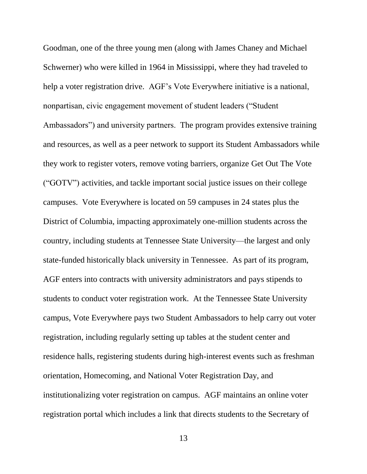Goodman, one of the three young men (along with James Chaney and Michael Schwerner) who were killed in 1964 in Mississippi, where they had traveled to help a voter registration drive. AGF's Vote Everywhere initiative is a national, nonpartisan, civic engagement movement of student leaders ("Student Ambassadors") and university partners. The program provides extensive training and resources, as well as a peer network to support its Student Ambassadors while they work to register voters, remove voting barriers, organize Get Out The Vote ("GOTV") activities, and tackle important social justice issues on their college campuses. Vote Everywhere is located on 59 campuses in 24 states plus the District of Columbia, impacting approximately one-million students across the country, including students at Tennessee State University—the largest and only state-funded historically black university in Tennessee. As part of its program, AGF enters into contracts with university administrators and pays stipends to students to conduct voter registration work. At the Tennessee State University campus, Vote Everywhere pays two Student Ambassadors to help carry out voter registration, including regularly setting up tables at the student center and residence halls, registering students during high-interest events such as freshman orientation, Homecoming, and National Voter Registration Day, and institutionalizing voter registration on campus. AGF maintains an online voter registration portal which includes a link that directs students to the Secretary of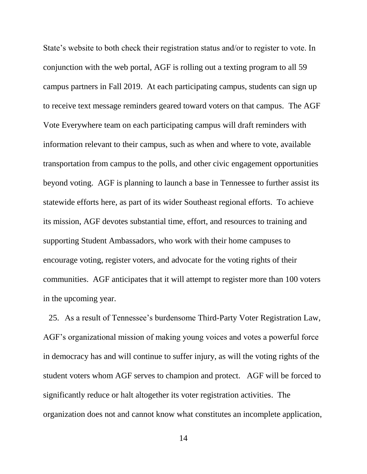State's website to both check their registration status and/or to register to vote. In conjunction with the web portal, AGF is rolling out a texting program to all 59 campus partners in Fall 2019. At each participating campus, students can sign up to receive text message reminders geared toward voters on that campus. The AGF Vote Everywhere team on each participating campus will draft reminders with information relevant to their campus, such as when and where to vote, available transportation from campus to the polls, and other civic engagement opportunities beyond voting. AGF is planning to launch a base in Tennessee to further assist its statewide efforts here, as part of its wider Southeast regional efforts. To achieve its mission, AGF devotes substantial time, effort, and resources to training and supporting Student Ambassadors, who work with their home campuses to encourage voting, register voters, and advocate for the voting rights of their communities. AGF anticipates that it will attempt to register more than 100 voters in the upcoming year.

25. As a result of Tennessee's burdensome Third-Party Voter Registration Law, AGF's organizational mission of making young voices and votes a powerful force in democracy has and will continue to suffer injury, as will the voting rights of the student voters whom AGF serves to champion and protect. AGF will be forced to significantly reduce or halt altogether its voter registration activities. The organization does not and cannot know what constitutes an incomplete application,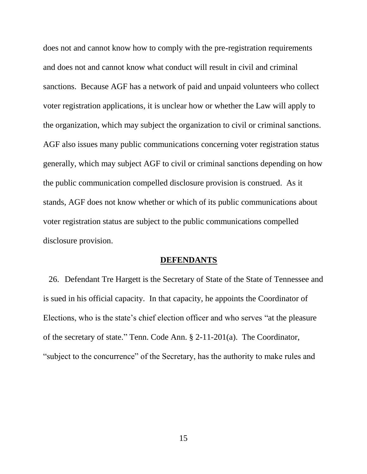does not and cannot know how to comply with the pre-registration requirements and does not and cannot know what conduct will result in civil and criminal sanctions. Because AGF has a network of paid and unpaid volunteers who collect voter registration applications, it is unclear how or whether the Law will apply to the organization, which may subject the organization to civil or criminal sanctions. AGF also issues many public communications concerning voter registration status generally, which may subject AGF to civil or criminal sanctions depending on how the public communication compelled disclosure provision is construed. As it stands, AGF does not know whether or which of its public communications about voter registration status are subject to the public communications compelled disclosure provision.

#### **DEFENDANTS**

26. Defendant Tre Hargett is the Secretary of State of the State of Tennessee and is sued in his official capacity. In that capacity, he appoints the Coordinator of Elections, who is the state's chief election officer and who serves "at the pleasure of the secretary of state." Tenn. Code Ann. § 2-11-201(a). The Coordinator, "subject to the concurrence" of the Secretary, has the authority to make rules and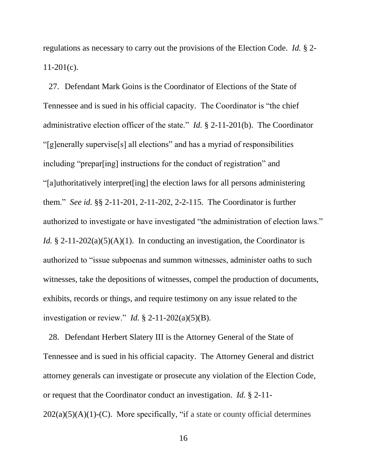regulations as necessary to carry out the provisions of the Election Code. *Id.* § 2-  $11-201(c)$ .

27. Defendant Mark Goins is the Coordinator of Elections of the State of Tennessee and is sued in his official capacity. The Coordinator is "the chief administrative election officer of the state." *Id.* § 2-11-201(b). The Coordinator "[g]enerally supervise[s] all elections" and has a myriad of responsibilities including "prepar[ing] instructions for the conduct of registration" and "[a]uthoritatively interpret[ing] the election laws for all persons administering them." *See id.* §§ 2-11-201, 2-11-202, 2-2-115. The Coordinator is further authorized to investigate or have investigated "the administration of election laws." *Id.* § 2-11-202(a)(5)(A)(1). In conducting an investigation, the Coordinator is authorized to "issue subpoenas and summon witnesses, administer oaths to such witnesses, take the depositions of witnesses, compel the production of documents, exhibits, records or things, and require testimony on any issue related to the investigation or review." *Id.*  $\S$  2-11-202(a)(5)(B).

28. Defendant Herbert Slatery III is the Attorney General of the State of Tennessee and is sued in his official capacity. The Attorney General and district attorney generals can investigate or prosecute any violation of the Election Code, or request that the Coordinator conduct an investigation. *Id.* § 2-11-  $202(a)(5)(A)(1)-(C)$ . More specifically, "if a state or county official determines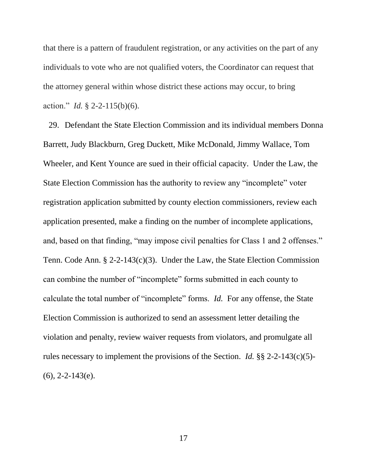that there is a pattern of fraudulent registration, or any activities on the part of any individuals to vote who are not qualified voters, the Coordinator can request that the attorney general within whose district these actions may occur, to bring action." *Id.* § 2-2-115(b)(6).

29. Defendant the State Election Commission and its individual members Donna Barrett, Judy Blackburn, Greg Duckett, Mike McDonald, Jimmy Wallace, Tom Wheeler, and Kent Younce are sued in their official capacity. Under the Law, the State Election Commission has the authority to review any "incomplete" voter registration application submitted by county election commissioners, review each application presented, make a finding on the number of incomplete applications, and, based on that finding, "may impose civil penalties for Class 1 and 2 offenses." Tenn. Code Ann. § 2-2-143(c)(3). Under the Law, the State Election Commission can combine the number of "incomplete" forms submitted in each county to calculate the total number of "incomplete" forms. *Id.* For any offense, the State Election Commission is authorized to send an assessment letter detailing the violation and penalty, review waiver requests from violators, and promulgate all rules necessary to implement the provisions of the Section. *Id.* §§ 2-2-143(c)(5)-  $(6)$ , 2-2-143(e).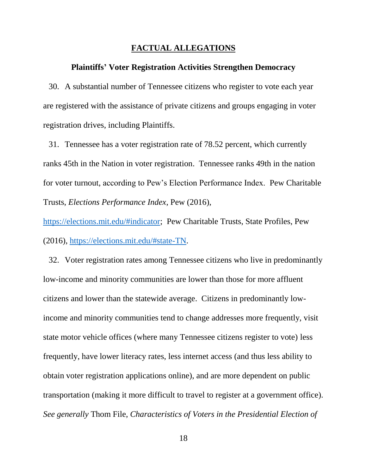#### **FACTUAL ALLEGATIONS**

#### **Plaintiffs' Voter Registration Activities Strengthen Democracy**

30. A substantial number of Tennessee citizens who register to vote each year are registered with the assistance of private citizens and groups engaging in voter registration drives, including Plaintiffs.

31. Tennessee has a voter registration rate of 78.52 percent, which currently ranks 45th in the Nation in voter registration. Tennessee ranks 49th in the nation for voter turnout, according to Pew's Election Performance Index. Pew Charitable Trusts, *Elections Performance Index*, Pew (2016),

[https://elections.mit.edu/#indicator;](https://elections.mit.edu/#indicator) Pew Charitable Trusts, State Profiles, Pew (2016), [https://elections.mit.edu/#state-TN.](https://elections.mit.edu/#state-TN)

32. Voter registration rates among Tennessee citizens who live in predominantly low-income and minority communities are lower than those for more affluent citizens and lower than the statewide average. Citizens in predominantly lowincome and minority communities tend to change addresses more frequently, visit state motor vehicle offices (where many Tennessee citizens register to vote) less frequently, have lower literacy rates, less internet access (and thus less ability to obtain voter registration applications online), and are more dependent on public transportation (making it more difficult to travel to register at a government office). *See generally* Thom File, *Characteristics of Voters in the Presidential Election of*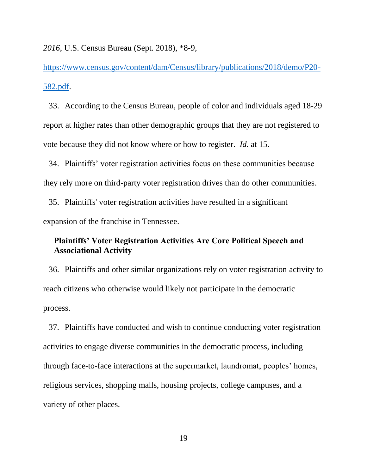*2016*, U.S. Census Bureau (Sept. 2018), \*8-9,

[https://www.census.gov/content/dam/Census/library/publications/2018/demo/P20-](https://www.census.gov/content/dam/Census/library/publications/2018/demo/P20-582.pdf) [582.pdf.](https://www.census.gov/content/dam/Census/library/publications/2018/demo/P20-582.pdf)

33. According to the Census Bureau, people of color and individuals aged 18-29 report at higher rates than other demographic groups that they are not registered to vote because they did not know where or how to register. *Id.* at 15.

34. Plaintiffs' voter registration activities focus on these communities because they rely more on third-party voter registration drives than do other communities.

35. Plaintiffs' voter registration activities have resulted in a significant expansion of the franchise in Tennessee.

# **Plaintiffs' Voter Registration Activities Are Core Political Speech and Associational Activity**

36. Plaintiffs and other similar organizations rely on voter registration activity to reach citizens who otherwise would likely not participate in the democratic process.

37. Plaintiffs have conducted and wish to continue conducting voter registration activities to engage diverse communities in the democratic process, including through face-to-face interactions at the supermarket, laundromat, peoples' homes, religious services, shopping malls, housing projects, college campuses, and a variety of other places.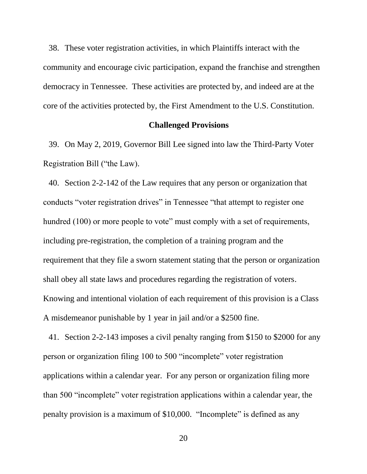38. These voter registration activities, in which Plaintiffs interact with the community and encourage civic participation, expand the franchise and strengthen democracy in Tennessee. These activities are protected by, and indeed are at the core of the activities protected by, the First Amendment to the U.S. Constitution.

#### **Challenged Provisions**

39. On May 2, 2019, Governor Bill Lee signed into law the Third-Party Voter Registration Bill ("the Law).

40. Section 2-2-142 of the Law requires that any person or organization that conducts "voter registration drives" in Tennessee "that attempt to register one hundred (100) or more people to vote" must comply with a set of requirements, including pre-registration, the completion of a training program and the requirement that they file a sworn statement stating that the person or organization shall obey all state laws and procedures regarding the registration of voters. Knowing and intentional violation of each requirement of this provision is a Class A misdemeanor punishable by 1 year in jail and/or a \$2500 fine.

41. Section 2-2-143 imposes a civil penalty ranging from \$150 to \$2000 for any person or organization filing 100 to 500 "incomplete" voter registration applications within a calendar year. For any person or organization filing more than 500 "incomplete" voter registration applications within a calendar year, the penalty provision is a maximum of \$10,000. "Incomplete" is defined as any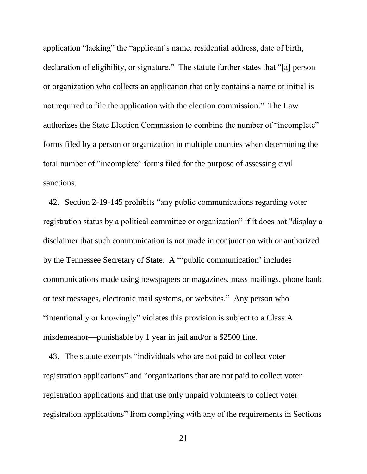application "lacking" the "applicant's name, residential address, date of birth, declaration of eligibility, or signature." The statute further states that "[a] person or organization who collects an application that only contains a name or initial is not required to file the application with the election commission." The Law authorizes the State Election Commission to combine the number of "incomplete" forms filed by a person or organization in multiple counties when determining the total number of "incomplete" forms filed for the purpose of assessing civil sanctions.

42. Section 2-19-145 prohibits "any public communications regarding voter registration status by a political committee or organization" if it does not "display a disclaimer that such communication is not made in conjunction with or authorized by the Tennessee Secretary of State. A "'public communication' includes communications made using newspapers or magazines, mass mailings, phone bank or text messages, electronic mail systems, or websites." Any person who "intentionally or knowingly" violates this provision is subject to a Class A misdemeanor—punishable by 1 year in jail and/or a \$2500 fine.

43. The statute exempts "individuals who are not paid to collect voter registration applications" and "organizations that are not paid to collect voter registration applications and that use only unpaid volunteers to collect voter registration applications" from complying with any of the requirements in Sections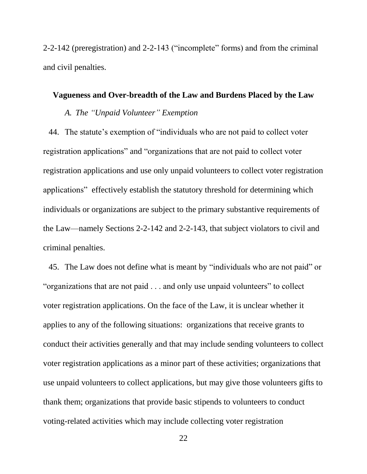2-2-142 (preregistration) and 2-2-143 ("incomplete" forms) and from the criminal and civil penalties.

# **Vagueness and Over-breadth of the Law and Burdens Placed by the Law**

# *A. The "Unpaid Volunteer" Exemption*

44. The statute's exemption of "individuals who are not paid to collect voter registration applications" and "organizations that are not paid to collect voter registration applications and use only unpaid volunteers to collect voter registration applications" effectively establish the statutory threshold for determining which individuals or organizations are subject to the primary substantive requirements of the Law—namely Sections 2-2-142 and 2-2-143, that subject violators to civil and criminal penalties.

45. The Law does not define what is meant by "individuals who are not paid" or "organizations that are not paid . . . and only use unpaid volunteers" to collect voter registration applications. On the face of the Law, it is unclear whether it applies to any of the following situations: organizations that receive grants to conduct their activities generally and that may include sending volunteers to collect voter registration applications as a minor part of these activities; organizations that use unpaid volunteers to collect applications, but may give those volunteers gifts to thank them; organizations that provide basic stipends to volunteers to conduct voting-related activities which may include collecting voter registration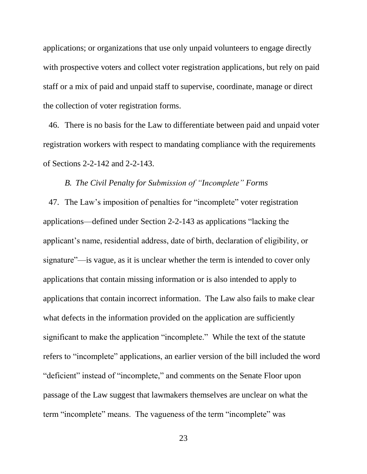applications; or organizations that use only unpaid volunteers to engage directly with prospective voters and collect voter registration applications, but rely on paid staff or a mix of paid and unpaid staff to supervise, coordinate, manage or direct the collection of voter registration forms.

46. There is no basis for the Law to differentiate between paid and unpaid voter registration workers with respect to mandating compliance with the requirements of Sections 2-2-142 and 2-2-143.

# *B. The Civil Penalty for Submission of "Incomplete" Forms*

47. The Law's imposition of penalties for "incomplete" voter registration applications—defined under Section 2-2-143 as applications "lacking the applicant's name, residential address, date of birth, declaration of eligibility, or signature"—is vague, as it is unclear whether the term is intended to cover only applications that contain missing information or is also intended to apply to applications that contain incorrect information. The Law also fails to make clear what defects in the information provided on the application are sufficiently significant to make the application "incomplete." While the text of the statute refers to "incomplete" applications, an earlier version of the bill included the word "deficient" instead of "incomplete," and comments on the Senate Floor upon passage of the Law suggest that lawmakers themselves are unclear on what the term "incomplete" means. The vagueness of the term "incomplete" was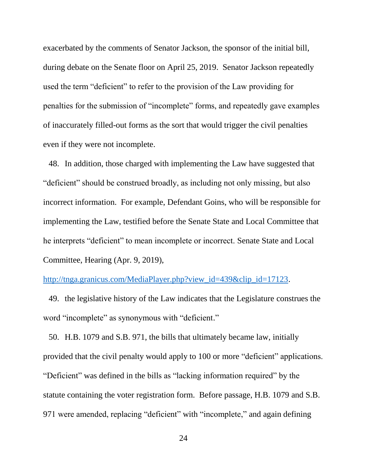exacerbated by the comments of Senator Jackson, the sponsor of the initial bill, during debate on the Senate floor on April 25, 2019. Senator Jackson repeatedly used the term "deficient" to refer to the provision of the Law providing for penalties for the submission of "incomplete" forms, and repeatedly gave examples of inaccurately filled-out forms as the sort that would trigger the civil penalties even if they were not incomplete.

48. In addition, those charged with implementing the Law have suggested that "deficient" should be construed broadly, as including not only missing, but also incorrect information. For example, Defendant Goins, who will be responsible for implementing the Law, testified before the Senate State and Local Committee that he interprets "deficient" to mean incomplete or incorrect. Senate State and Local Committee, Hearing (Apr. 9, 2019),

## [http://tnga.granicus.com/MediaPlayer.php?view\\_id=439&clip\\_id=17123.](http://tnga.granicus.com/MediaPlayer.php?view_id=439&clip_id=17123)

49. the legislative history of the Law indicates that the Legislature construes the word "incomplete" as synonymous with "deficient."

50. H.B. 1079 and S.B. 971, the bills that ultimately became law, initially provided that the civil penalty would apply to 100 or more "deficient" applications. "Deficient" was defined in the bills as "lacking information required" by the statute containing the voter registration form. Before passage, H.B. 1079 and S.B. 971 were amended, replacing "deficient" with "incomplete," and again defining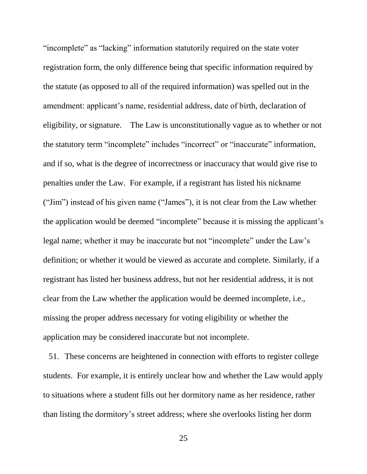"incomplete" as "lacking" information statutorily required on the state voter registration form, the only difference being that specific information required by the statute (as opposed to all of the required information) was spelled out in the amendment: applicant's name, residential address, date of birth, declaration of eligibility, or signature. The Law is unconstitutionally vague as to whether or not the statutory term "incomplete" includes "incorrect" or "inaccurate" information, and if so, what is the degree of incorrectness or inaccuracy that would give rise to penalties under the Law. For example, if a registrant has listed his nickname ("Jim") instead of his given name ("James"), it is not clear from the Law whether the application would be deemed "incomplete" because it is missing the applicant's legal name; whether it may be inaccurate but not "incomplete" under the Law's definition; or whether it would be viewed as accurate and complete. Similarly, if a registrant has listed her business address, but not her residential address, it is not clear from the Law whether the application would be deemed incomplete, i.e., missing the proper address necessary for voting eligibility or whether the application may be considered inaccurate but not incomplete.

51. These concerns are heightened in connection with efforts to register college students. For example, it is entirely unclear how and whether the Law would apply to situations where a student fills out her dormitory name as her residence, rather than listing the dormitory's street address; where she overlooks listing her dorm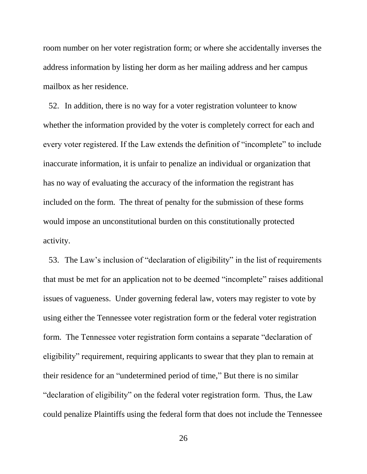room number on her voter registration form; or where she accidentally inverses the address information by listing her dorm as her mailing address and her campus mailbox as her residence.

52. In addition, there is no way for a voter registration volunteer to know whether the information provided by the voter is completely correct for each and every voter registered. If the Law extends the definition of "incomplete" to include inaccurate information, it is unfair to penalize an individual or organization that has no way of evaluating the accuracy of the information the registrant has included on the form. The threat of penalty for the submission of these forms would impose an unconstitutional burden on this constitutionally protected activity.

53. The Law's inclusion of "declaration of eligibility" in the list of requirements that must be met for an application not to be deemed "incomplete" raises additional issues of vagueness. Under governing federal law, voters may register to vote by using either the Tennessee voter registration form or the federal voter registration form. The Tennessee voter registration form contains a separate "declaration of eligibility" requirement, requiring applicants to swear that they plan to remain at their residence for an "undetermined period of time," But there is no similar "declaration of eligibility" on the federal voter registration form. Thus, the Law could penalize Plaintiffs using the federal form that does not include the Tennessee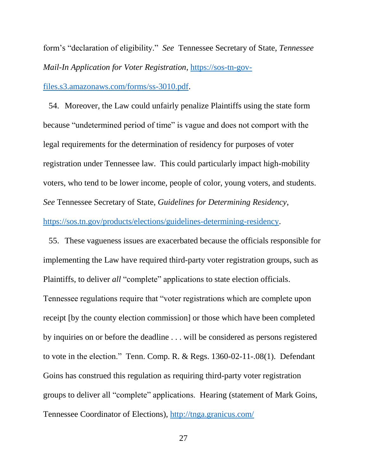form's "declaration of eligibility." *See* Tennessee Secretary of State, *Tennessee Mail-In Application for Voter Registration*, [https://sos-tn-gov-](https://sos-tn-gov-files.s3.amazonaws.com/forms/ss-3010.pdf)

[files.s3.amazonaws.com/forms/ss-3010.pdf.](https://sos-tn-gov-files.s3.amazonaws.com/forms/ss-3010.pdf)

54. Moreover, the Law could unfairly penalize Plaintiffs using the state form because "undetermined period of time" is vague and does not comport with the legal requirements for the determination of residency for purposes of voter registration under Tennessee law. This could particularly impact high-mobility voters, who tend to be lower income, people of color, young voters, and students. *See* Tennessee Secretary of State, *Guidelines for Determining Residency*, [https://sos.tn.gov/products/elections/guidelines-determining-residency.](https://sos.tn.gov/products/elections/guidelines-determining-residency)

55. These vagueness issues are exacerbated because the officials responsible for implementing the Law have required third-party voter registration groups, such as Plaintiffs, to deliver *all* "complete" applications to state election officials. Tennessee regulations require that "voter registrations which are complete upon receipt [by the county election commission] or those which have been completed by inquiries on or before the deadline . . . will be considered as persons registered to vote in the election." Tenn. Comp. R. & Regs. 1360-02-11-.08(1). Defendant Goins has construed this regulation as requiring third-party voter registration groups to deliver all "complete" applications. Hearing (statement of Mark Goins, Tennessee Coordinator of Elections), [http://tnga.granicus.com/](http://tnga.granicus.com/‌MediaPlayer.php?view_id=439&clip_id=17123)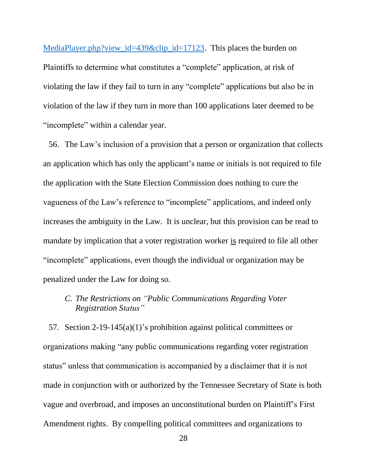[MediaPlayer.php?view\\_id=439&clip\\_id=17123.](http://tnga.granicus.com/‌MediaPlayer.php?view_id=439&clip_id=17123) This places the burden on Plaintiffs to determine what constitutes a "complete" application, at risk of violating the law if they fail to turn in any "complete" applications but also be in violation of the law if they turn in more than 100 applications later deemed to be "incomplete" within a calendar year.

56. The Law's inclusion of a provision that a person or organization that collects an application which has only the applicant's name or initials is not required to file the application with the State Election Commission does nothing to cure the vagueness of the Law's reference to "incomplete" applications, and indeed only increases the ambiguity in the Law. It is unclear, but this provision can be read to mandate by implication that a voter registration worker is required to file all other "incomplete" applications, even though the individual or organization may be penalized under the Law for doing so.

# *C. The Restrictions on "Public Communications Regarding Voter Registration Status"*

57. Section 2-19-145(a)(1)'s prohibition against political committees or organizations making "any public communications regarding voter registration status" unless that communication is accompanied by a disclaimer that it is not made in conjunction with or authorized by the Tennessee Secretary of State is both vague and overbroad, and imposes an unconstitutional burden on Plaintiff's First Amendment rights. By compelling political committees and organizations to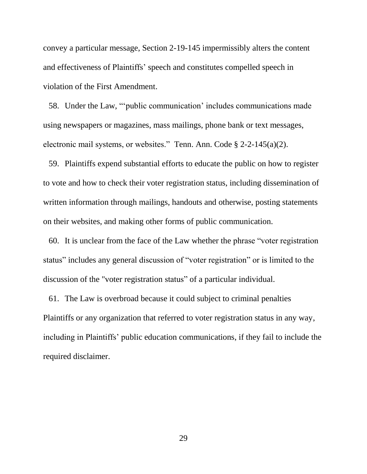convey a particular message, Section 2-19-145 impermissibly alters the content and effectiveness of Plaintiffs' speech and constitutes compelled speech in violation of the First Amendment.

58. Under the Law, "'public communication' includes communications made using newspapers or magazines, mass mailings, phone bank or text messages, electronic mail systems, or websites." Tenn. Ann. Code § 2-2-145(a)(2).

59. Plaintiffs expend substantial efforts to educate the public on how to register to vote and how to check their voter registration status, including dissemination of written information through mailings, handouts and otherwise, posting statements on their websites, and making other forms of public communication.

60. It is unclear from the face of the Law whether the phrase "voter registration status" includes any general discussion of "voter registration" or is limited to the discussion of the "voter registration status" of a particular individual.

61. The Law is overbroad because it could subject to criminal penalties Plaintiffs or any organization that referred to voter registration status in any way, including in Plaintiffs' public education communications, if they fail to include the required disclaimer.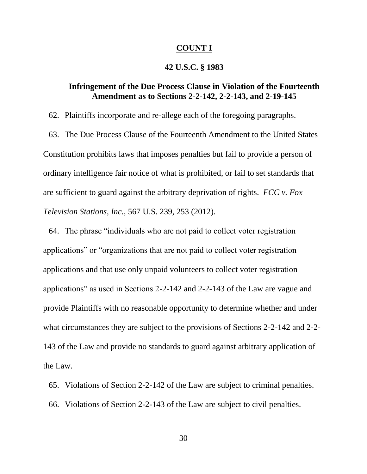#### **COUNT I**

### **42 U.S.C. § 1983**

# **Infringement of the Due Process Clause in Violation of the Fourteenth Amendment as to Sections 2-2-142, 2-2-143, and 2-19-145**

62. Plaintiffs incorporate and re-allege each of the foregoing paragraphs.

63. The Due Process Clause of the Fourteenth Amendment to the United States Constitution prohibits laws that imposes penalties but fail to provide a person of ordinary intelligence fair notice of what is prohibited, or fail to set standards that are sufficient to guard against the arbitrary deprivation of rights. *FCC v. Fox Television Stations, Inc.*, 567 U.S. 239, 253 (2012).

64. The phrase "individuals who are not paid to collect voter registration applications" or "organizations that are not paid to collect voter registration applications and that use only unpaid volunteers to collect voter registration applications" as used in Sections 2-2-142 and 2-2-143 of the Law are vague and provide Plaintiffs with no reasonable opportunity to determine whether and under what circumstances they are subject to the provisions of Sections 2-2-142 and 2-2- 143 of the Law and provide no standards to guard against arbitrary application of the Law.

65. Violations of Section 2-2-142 of the Law are subject to criminal penalties. 66. Violations of Section 2-2-143 of the Law are subject to civil penalties.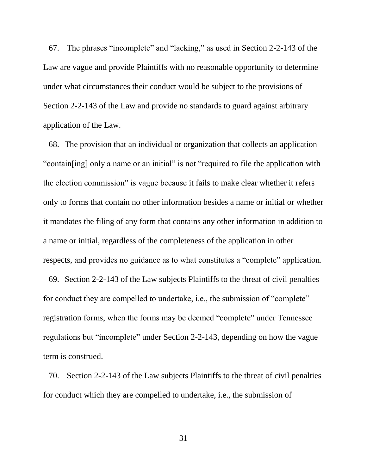67. The phrases "incomplete" and "lacking," as used in Section 2-2-143 of the Law are vague and provide Plaintiffs with no reasonable opportunity to determine under what circumstances their conduct would be subject to the provisions of Section 2-2-143 of the Law and provide no standards to guard against arbitrary application of the Law.

68. The provision that an individual or organization that collects an application "contain[ing] only a name or an initial" is not "required to file the application with the election commission" is vague because it fails to make clear whether it refers only to forms that contain no other information besides a name or initial or whether it mandates the filing of any form that contains any other information in addition to a name or initial, regardless of the completeness of the application in other respects, and provides no guidance as to what constitutes a "complete" application.

69. Section 2-2-143 of the Law subjects Plaintiffs to the threat of civil penalties for conduct they are compelled to undertake, i.e., the submission of "complete" registration forms, when the forms may be deemed "complete" under Tennessee regulations but "incomplete" under Section 2-2-143, depending on how the vague term is construed.

70. Section 2-2-143 of the Law subjects Plaintiffs to the threat of civil penalties for conduct which they are compelled to undertake, i.e., the submission of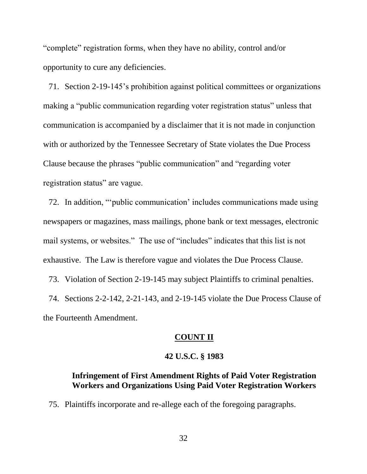"complete" registration forms, when they have no ability, control and/or opportunity to cure any deficiencies.

71. Section 2-19-145's prohibition against political committees or organizations making a "public communication regarding voter registration status" unless that communication is accompanied by a disclaimer that it is not made in conjunction with or authorized by the Tennessee Secretary of State violates the Due Process Clause because the phrases "public communication" and "regarding voter registration status" are vague.

72. In addition, "'public communication' includes communications made using newspapers or magazines, mass mailings, phone bank or text messages, electronic mail systems, or websites." The use of "includes" indicates that this list is not exhaustive. The Law is therefore vague and violates the Due Process Clause.

73. Violation of Section 2-19-145 may subject Plaintiffs to criminal penalties.

74. Sections 2-2-142, 2-21-143, and 2-19-145 violate the Due Process Clause of the Fourteenth Amendment.

#### **COUNT II**

# **42 U.S.C. § 1983**

# **Infringement of First Amendment Rights of Paid Voter Registration Workers and Organizations Using Paid Voter Registration Workers**

75. Plaintiffs incorporate and re-allege each of the foregoing paragraphs.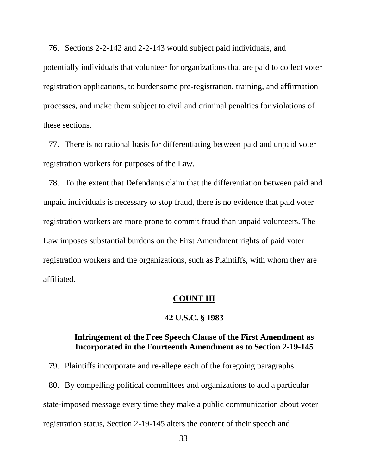76. Sections 2-2-142 and 2-2-143 would subject paid individuals, and potentially individuals that volunteer for organizations that are paid to collect voter registration applications, to burdensome pre-registration, training, and affirmation processes, and make them subject to civil and criminal penalties for violations of these sections.

77. There is no rational basis for differentiating between paid and unpaid voter registration workers for purposes of the Law.

78. To the extent that Defendants claim that the differentiation between paid and unpaid individuals is necessary to stop fraud, there is no evidence that paid voter registration workers are more prone to commit fraud than unpaid volunteers. The Law imposes substantial burdens on the First Amendment rights of paid voter registration workers and the organizations, such as Plaintiffs, with whom they are affiliated.

#### **COUNT III**

# **42 U.S.C. § 1983**

# **Infringement of the Free Speech Clause of the First Amendment as Incorporated in the Fourteenth Amendment as to Section 2-19-145**

79. Plaintiffs incorporate and re-allege each of the foregoing paragraphs.

80. By compelling political committees and organizations to add a particular state-imposed message every time they make a public communication about voter registration status, Section 2-19-145 alters the content of their speech and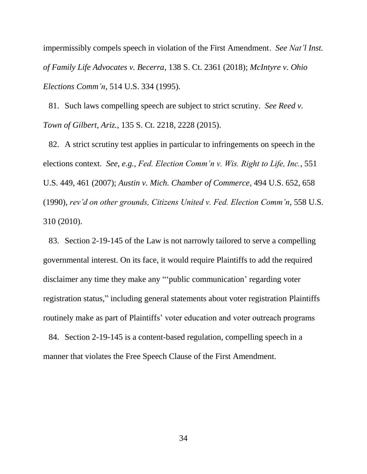impermissibly compels speech in violation of the First Amendment. *See Nat'l Inst. of Family Life Advocates v. Becerra*, 138 S. Ct. 2361 (2018); *McIntyre v. Ohio Elections Comm'n*, 514 U.S. 334 (1995).

81. Such laws compelling speech are subject to strict scrutiny. *See Reed v. Town of Gilbert, Ariz.*, 135 S. Ct. 2218, 2228 (2015).

82. A strict scrutiny test applies in particular to infringements on speech in the elections context. *See*, *e.g.*, *Fed. Election Comm'n v. Wis. Right to Life, Inc.*, 551 U.S. 449, 461 (2007); *Austin v. Mich. Chamber of Commerce*, 494 U.S. 652, 658 (1990), *rev'd on other grounds, Citizens United v. Fed. Election Comm'n*, 558 U.S. 310 (2010).

83. Section 2-19-145 of the Law is not narrowly tailored to serve a compelling governmental interest. On its face, it would require Plaintiffs to add the required disclaimer any time they make any "'public communication' regarding voter registration status," including general statements about voter registration Plaintiffs routinely make as part of Plaintiffs' voter education and voter outreach programs

84. Section 2-19-145 is a content-based regulation, compelling speech in a manner that violates the Free Speech Clause of the First Amendment.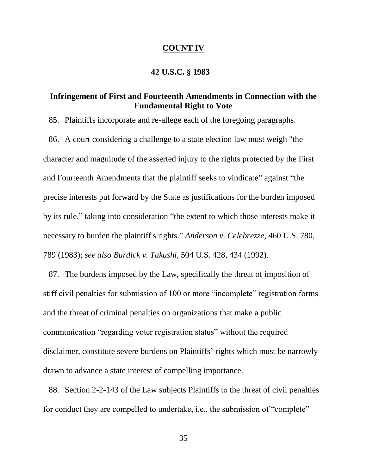#### **COUNT IV**

### **42 U.S.C. § 1983**

# **Infringement of First and Fourteenth Amendments in Connection with the Fundamental Right to Vote**

85. Plaintiffs incorporate and re-allege each of the foregoing paragraphs.

86. A court considering a challenge to a state election law must weigh "the character and magnitude of the asserted injury to the rights protected by the First and Fourteenth Amendments that the plaintiff seeks to vindicate" against "the precise interests put forward by the State as justifications for the burden imposed by its rule," taking into consideration "the extent to which those interests make it necessary to burden the plaintiff's rights." *Anderson v. Celebrezze*, 460 U.S. 780, 789 (1983); *see also Burdick v. Takushi*, 504 U.S. 428, 434 (1992).

87. The burdens imposed by the Law, specifically the threat of imposition of stiff civil penalties for submission of 100 or more "incomplete" registration forms and the threat of criminal penalties on organizations that make a public communication "regarding voter registration status" without the required disclaimer, constitute severe burdens on Plaintiffs' rights which must be narrowly drawn to advance a state interest of compelling importance.

88. Section 2-2-143 of the Law subjects Plaintiffs to the threat of civil penalties for conduct they are compelled to undertake, i.e., the submission of "complete"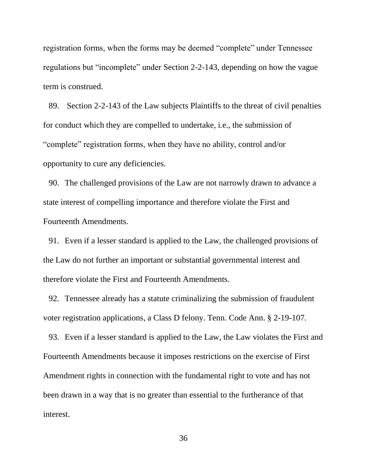registration forms, when the forms may be deemed "complete" under Tennessee regulations but "incomplete" under Section 2-2-143, depending on how the vague term is construed.

89. Section 2-2-143 of the Law subjects Plaintiffs to the threat of civil penalties for conduct which they are compelled to undertake, i.e., the submission of "complete" registration forms, when they have no ability, control and/or opportunity to cure any deficiencies.

90. The challenged provisions of the Law are not narrowly drawn to advance a state interest of compelling importance and therefore violate the First and Fourteenth Amendments.

91. Even if a lesser standard is applied to the Law, the challenged provisions of the Law do not further an important or substantial governmental interest and therefore violate the First and Fourteenth Amendments.

92. Tennessee already has a statute criminalizing the submission of fraudulent voter registration applications, a Class D felony. Tenn. Code Ann. § 2-19-107.

93. Even if a lesser standard is applied to the Law, the Law violates the First and Fourteenth Amendments because it imposes restrictions on the exercise of First Amendment rights in connection with the fundamental right to vote and has not been drawn in a way that is no greater than essential to the furtherance of that interest.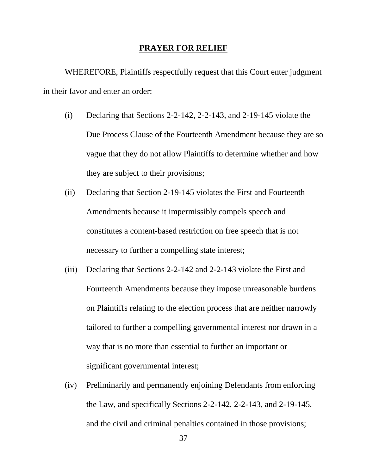#### **PRAYER FOR RELIEF**

WHEREFORE, Plaintiffs respectfully request that this Court enter judgment in their favor and enter an order:

- (i) Declaring that Sections 2-2-142, 2-2-143, and 2-19-145 violate the Due Process Clause of the Fourteenth Amendment because they are so vague that they do not allow Plaintiffs to determine whether and how they are subject to their provisions;
- (ii) Declaring that Section 2-19-145 violates the First and Fourteenth Amendments because it impermissibly compels speech and constitutes a content-based restriction on free speech that is not necessary to further a compelling state interest;
- (iii) Declaring that Sections 2-2-142 and 2-2-143 violate the First and Fourteenth Amendments because they impose unreasonable burdens on Plaintiffs relating to the election process that are neither narrowly tailored to further a compelling governmental interest nor drawn in a way that is no more than essential to further an important or significant governmental interest;
- (iv) Preliminarily and permanently enjoining Defendants from enforcing the Law, and specifically Sections 2-2-142, 2-2-143, and 2-19-145, and the civil and criminal penalties contained in those provisions;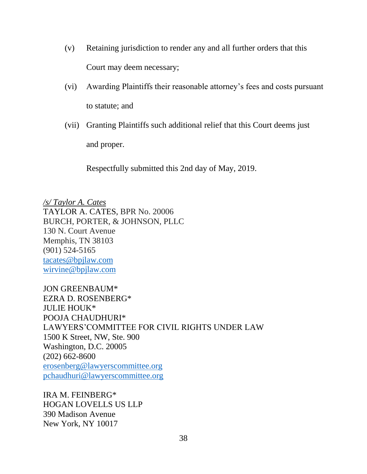- (v) Retaining jurisdiction to render any and all further orders that this Court may deem necessary;
- (vi) Awarding Plaintiffs their reasonable attorney's fees and costs pursuant to statute; and
- (vii) Granting Plaintiffs such additional relief that this Court deems just and proper.

Respectfully submitted this 2nd day of May, 2019.

*/s/ Taylor A. Cates* TAYLOR A. CATES, BPR No. 20006 BURCH, PORTER, & JOHNSON, PLLC 130 N. Court Avenue Memphis, TN 38103 (901) 524-5165 [tacates@bpjlaw.com](mailto:tacates@bpjlaw.com) [wirvine@bpjlaw.com](mailto:wirvine@bpjlaw.com)

JON GREENBAUM\* EZRA D. ROSENBERG\* JULIE HOUK\* POOJA CHAUDHURI\* LAWYERS'COMMITTEE FOR CIVIL RIGHTS UNDER LAW 1500 K Street, NW, Ste. 900 Washington, D.C. 20005 (202) 662-8600 [erosenberg@lawyerscommittee.org](mailto:erosenberg@lawyerscommittee.org) [pchaudhuri@lawyerscommittee.org](mailto:pchaudhuri@lawyerscommittee.org)

IRA M. FEINBERG\* HOGAN LOVELLS US LLP 390 Madison Avenue New York, NY 10017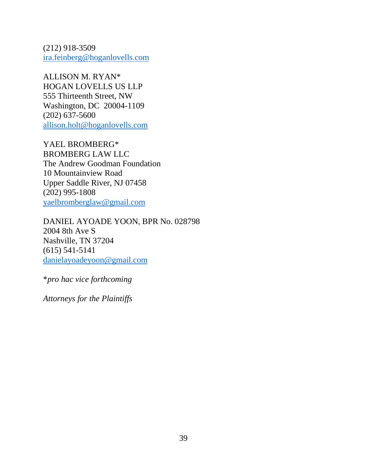(212) 918-3509 [ira.feinberg@hoganlovells.com](mailto:ira.feinberg@hoganlovells.com)

ALLISON M. RYAN\* HOGAN LOVELLS US LLP 555 Thirteenth Street, NW Washington, DC 20004-1109 (202) 637-5600 [allison.holt@hoganlovells.com](mailto:allison.holt@hoganlovells.com)

YAEL BROMBERG\* BROMBERG LAW LLC The Andrew Goodman Foundation 10 Mountainview Road Upper Saddle River, NJ 07458 (202) 995-1808 [yaelbromberglaw@gmail.com](mailto:yaelbromberglaw@gmail.com)

DANIEL AYOADE YOON, BPR No. 028798 2004 8th Ave S Nashville, TN 37204 (615) 541-5141 [danielayoadeyoon@gmail.com](mailto:danielayoadeyoon@gmail.com)

\**pro hac vice forthcoming*

*Attorneys for the Plaintiffs*